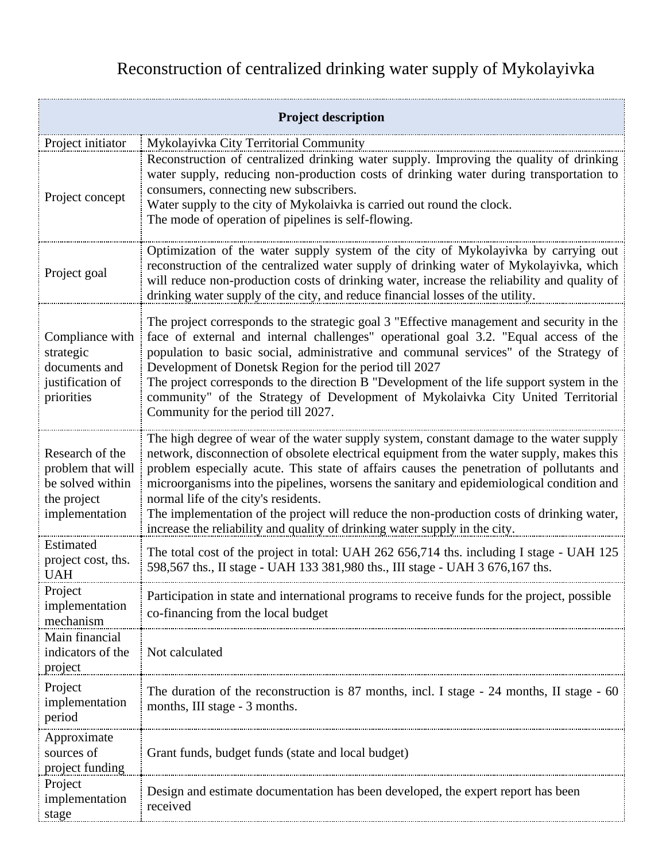## Reconstruction of centralized drinking water supply of Mykolayivka

| <b>Project description</b>                                                                |                                                                                                                                                                                                                                                                                                                                                                                                                                                                                                                                                                                                  |  |
|-------------------------------------------------------------------------------------------|--------------------------------------------------------------------------------------------------------------------------------------------------------------------------------------------------------------------------------------------------------------------------------------------------------------------------------------------------------------------------------------------------------------------------------------------------------------------------------------------------------------------------------------------------------------------------------------------------|--|
| Project initiator                                                                         | Mykolayivka City Territorial Community                                                                                                                                                                                                                                                                                                                                                                                                                                                                                                                                                           |  |
| Project concept                                                                           | Reconstruction of centralized drinking water supply. Improving the quality of drinking<br>water supply, reducing non-production costs of drinking water during transportation to<br>consumers, connecting new subscribers.<br>Water supply to the city of Mykolaivka is carried out round the clock.<br>The mode of operation of pipelines is self-flowing.                                                                                                                                                                                                                                      |  |
| Project goal                                                                              | Optimization of the water supply system of the city of Mykolayivka by carrying out<br>reconstruction of the centralized water supply of drinking water of Mykolayivka, which<br>will reduce non-production costs of drinking water, increase the reliability and quality of<br>drinking water supply of the city, and reduce financial losses of the utility.                                                                                                                                                                                                                                    |  |
| Compliance with<br>strategic<br>documents and<br>justification of<br>priorities           | The project corresponds to the strategic goal 3 "Effective management and security in the<br>face of external and internal challenges" operational goal 3.2. "Equal access of the<br>population to basic social, administrative and communal services" of the Strategy of<br>Development of Donetsk Region for the period till 2027<br>The project corresponds to the direction B "Development of the life support system in the<br>community" of the Strategy of Development of Mykolaivka City United Territorial<br>Community for the period till 2027.                                       |  |
| Research of the<br>problem that will<br>be solved within<br>the project<br>implementation | The high degree of wear of the water supply system, constant damage to the water supply<br>network, disconnection of obsolete electrical equipment from the water supply, makes this<br>problem especially acute. This state of affairs causes the penetration of pollutants and<br>microorganisms into the pipelines, worsens the sanitary and epidemiological condition and<br>normal life of the city's residents.<br>The implementation of the project will reduce the non-production costs of drinking water,<br>increase the reliability and quality of drinking water supply in the city. |  |
| Estimated<br>project cost, ths.<br><b>UAH</b>                                             | The total cost of the project in total: UAH 262 656,714 ths. including I stage - UAH 125<br>598,567 ths., II stage - UAH 133 381,980 ths., III stage - UAH 3 676,167 ths.                                                                                                                                                                                                                                                                                                                                                                                                                        |  |
| Project<br>implementation<br>mechanism                                                    | Participation in state and international programs to receive funds for the project, possible<br>co-financing from the local budget                                                                                                                                                                                                                                                                                                                                                                                                                                                               |  |
| Main financial<br>indicators of the<br>project                                            | Not calculated                                                                                                                                                                                                                                                                                                                                                                                                                                                                                                                                                                                   |  |
| Project<br>implementation<br>period                                                       | The duration of the reconstruction is 87 months, incl. I stage - 24 months, II stage - 60<br>months, III stage - 3 months.                                                                                                                                                                                                                                                                                                                                                                                                                                                                       |  |
| Approximate<br>sources of<br>project funding                                              | Grant funds, budget funds (state and local budget)                                                                                                                                                                                                                                                                                                                                                                                                                                                                                                                                               |  |
| Project<br>implementation<br>stage                                                        | Design and estimate documentation has been developed, the expert report has been<br>received                                                                                                                                                                                                                                                                                                                                                                                                                                                                                                     |  |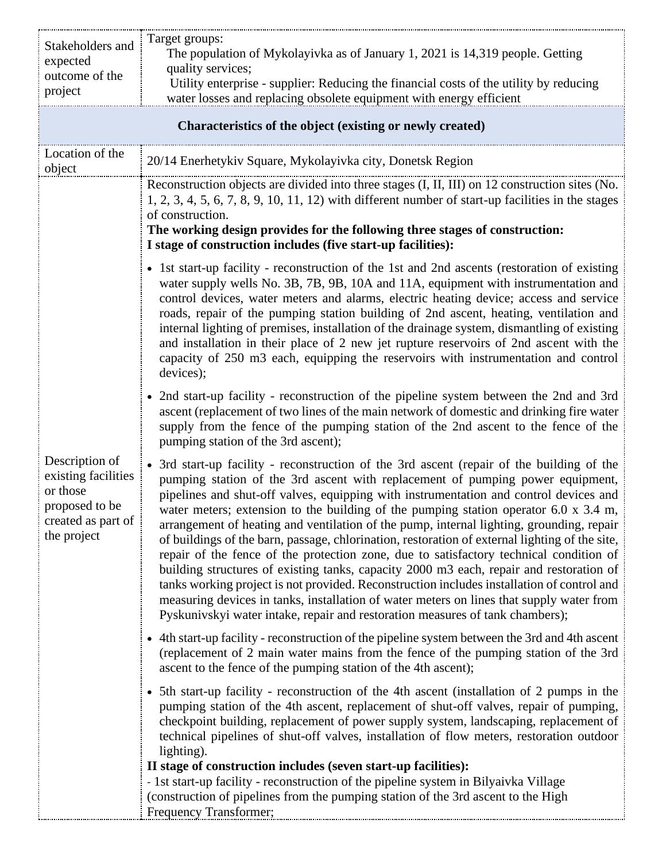| Stakeholders and                                                                                         | Target groups:<br>The population of Mykolayivka as of January 1, 2021 is 14,319 people. Getting                                                                                                                                                                                                                                                                                                                                                                                                                                                                                                                                                                                                                                                                                                                                                                                                                                                                                                                                            |  |
|----------------------------------------------------------------------------------------------------------|--------------------------------------------------------------------------------------------------------------------------------------------------------------------------------------------------------------------------------------------------------------------------------------------------------------------------------------------------------------------------------------------------------------------------------------------------------------------------------------------------------------------------------------------------------------------------------------------------------------------------------------------------------------------------------------------------------------------------------------------------------------------------------------------------------------------------------------------------------------------------------------------------------------------------------------------------------------------------------------------------------------------------------------------|--|
| expected<br>outcome of the                                                                               | quality services;                                                                                                                                                                                                                                                                                                                                                                                                                                                                                                                                                                                                                                                                                                                                                                                                                                                                                                                                                                                                                          |  |
| project                                                                                                  | Utility enterprise - supplier: Reducing the financial costs of the utility by reducing<br>water losses and replacing obsolete equipment with energy efficient                                                                                                                                                                                                                                                                                                                                                                                                                                                                                                                                                                                                                                                                                                                                                                                                                                                                              |  |
| Characteristics of the object (existing or newly created)                                                |                                                                                                                                                                                                                                                                                                                                                                                                                                                                                                                                                                                                                                                                                                                                                                                                                                                                                                                                                                                                                                            |  |
| Location of the<br>object                                                                                | 20/14 Enerhetykiv Square, Mykolayivka city, Donetsk Region                                                                                                                                                                                                                                                                                                                                                                                                                                                                                                                                                                                                                                                                                                                                                                                                                                                                                                                                                                                 |  |
| Description of<br>existing facilities<br>or those<br>proposed to be<br>created as part of<br>the project | Reconstruction objects are divided into three stages (I, II, III) on 12 construction sites (No.<br>$1, 2, 3, 4, 5, 6, 7, 8, 9, 10, 11, 12$ with different number of start-up facilities in the stages<br>of construction.<br>The working design provides for the following three stages of construction:<br>I stage of construction includes (five start-up facilities):                                                                                                                                                                                                                                                                                                                                                                                                                                                                                                                                                                                                                                                                   |  |
|                                                                                                          | • 1st start-up facility - reconstruction of the 1st and 2nd ascents (restoration of existing<br>water supply wells No. 3B, 7B, 9B, 10A and 11A, equipment with instrumentation and<br>control devices, water meters and alarms, electric heating device; access and service<br>roads, repair of the pumping station building of 2nd ascent, heating, ventilation and<br>internal lighting of premises, installation of the drainage system, dismantling of existing<br>and installation in their place of 2 new jet rupture reservoirs of 2nd ascent with the<br>capacity of 250 m3 each, equipping the reservoirs with instrumentation and control<br>devices);                                                                                                                                                                                                                                                                                                                                                                           |  |
|                                                                                                          | • 2nd start-up facility - reconstruction of the pipeline system between the 2nd and 3rd<br>ascent (replacement of two lines of the main network of domestic and drinking fire water<br>supply from the fence of the pumping station of the 2nd ascent to the fence of the<br>pumping station of the 3rd ascent);                                                                                                                                                                                                                                                                                                                                                                                                                                                                                                                                                                                                                                                                                                                           |  |
|                                                                                                          | • 3rd start-up facility - reconstruction of the 3rd ascent (repair of the building of the<br>pumping station of the 3rd ascent with replacement of pumping power equipment,<br>pipelines and shut-off valves, equipping with instrumentation and control devices and<br>water meters; extension to the building of the pumping station operator $6.0 \times 3.4 \text{ m}$ ,<br>arrangement of heating and ventilation of the pump, internal lighting, grounding, repair<br>of buildings of the barn, passage, chlorination, restoration of external lighting of the site,<br>repair of the fence of the protection zone, due to satisfactory technical condition of<br>building structures of existing tanks, capacity 2000 m3 each, repair and restoration of<br>tanks working project is not provided. Reconstruction includes installation of control and<br>measuring devices in tanks, installation of water meters on lines that supply water from<br>Pyskunivskyi water intake, repair and restoration measures of tank chambers); |  |
|                                                                                                          | • 4th start-up facility - reconstruction of the pipeline system between the 3rd and 4th ascent<br>(replacement of 2 main water mains from the fence of the pumping station of the 3rd<br>ascent to the fence of the pumping station of the 4th ascent);                                                                                                                                                                                                                                                                                                                                                                                                                                                                                                                                                                                                                                                                                                                                                                                    |  |
|                                                                                                          | • 5th start-up facility - reconstruction of the 4th ascent (installation of 2 pumps in the<br>pumping station of the 4th ascent, replacement of shut-off valves, repair of pumping,<br>checkpoint building, replacement of power supply system, landscaping, replacement of<br>technical pipelines of shut-off valves, installation of flow meters, restoration outdoor<br>lighting).                                                                                                                                                                                                                                                                                                                                                                                                                                                                                                                                                                                                                                                      |  |
|                                                                                                          | II stage of construction includes (seven start-up facilities):<br>- 1st start-up facility - reconstruction of the pipeline system in Bilyaivka Village<br>(construction of pipelines from the pumping station of the 3rd ascent to the High<br>Frequency Transformer;                                                                                                                                                                                                                                                                                                                                                                                                                                                                                                                                                                                                                                                                                                                                                                      |  |